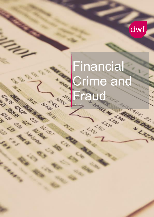

# Financial Crime and Fraud

March 2021

**LOSOO** 

**CALLES BRANCHES** 

ARABA CONTROL DES CONTROL DE CONTROL DE CONTROL DE CONTROL DE CONTROL DE CONTROL DE CONTROL DE CONTROL DE CONTROL DE CONTROL DE CONTROL DE CONTROL DE CONTROL DE CONTROL DE CONTROL DE CONTROL DE CONTROL DE CONTROL DE CONTRO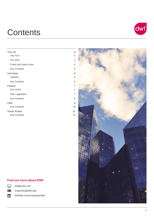# **Contents**

| The UK                 | 3  |
|------------------------|----|
| The FCA                | 3  |
| The SFO                | 3  |
| Fraud and cyber-crime  | 4  |
| <b>Key Contacts</b>    | 5  |
| Germany                | 6  |
| Updates                | 6  |
| <b>Key Contacts</b>    | 6  |
| Poland                 | 7  |
| The PFSA               | 7  |
| <b>AML Legislation</b> | 7  |
| <b>Key Contacts</b>    | 8  |
| <b>UAE</b>             | 9  |
| <b>Key Contacts</b>    | 10 |
| Saudi Arabia           | 11 |
| <b>Key Contacts</b>    | 11 |

# dwf



### **Find out more about DWF**



in

dwfgroup.com enquiries@dwf.law

linkedin.com/company/dwf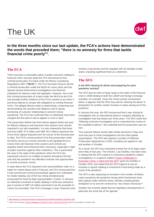# <span id="page-2-0"></span>The UK



**In the three months since our last update, the FCA's actions have demonstrated the words that preceded them; "there is no amnesty for firms that tackle financial crime poorly"<sup>1</sup> .**

### <span id="page-2-1"></span>**The FCA**

 $\overline{a}$ 

There has been a noticeable uptick in public outcomes relating to financial crime; only last week the FCA announced its first criminal prosecution of a bank under the Money Laundering Regulations 2007 (**"MLRs"**). The FCA has been trying to secure a criminal prosecution under the MLRs for some years and has opened several enforcement investigations into financial institutions for failures under the legislation. However, this is the first criminal prosecution of a bank under the MLRs by the FCA and provides further evidence of the FCA's resolve to act when it perceives failures to comply with obligations to combat financial crime. The alleged failures relate to determining, conducting and demonstrating risk sensitive due diligence and on-going monitoring of customer relationships to prevent money laundering. The FCA has confirmed that no individuals have been charged and the bank is due to appear in court in April.

The prosecution follows two final notices against banks last year for failures relating to anti-financial crime systems and controls (reported in our last newsletter). It is also noteworthy that those two fines (GBP 37.8 million and GBP 48.3 million) represent two of the three highest imposed over the course of the financial year to date. The FCA's announcement of its first prosecution under the MLRs serves as a timely reminder to all regulated firms to ensure their anti-financial crime systems and controls are regularly tested and enhanced when necessary, especially in light of public outcomes against other institutions. This is particularly the case in the wake of the pandemic when the FCA has expressed concerns on multiple occasions throughout the last year that the pandemic has afforded criminals new opportunities to commit economic crimes.

In early March the FCA imposed a fine and prohibition order on a trader for market abuse and in February, the FCA announced that it had commenced criminal proceedings against four individuals for insider dealing, two of the four being simultaneously prosecuted for fraud by false representation. Further, in January an individual convicted of insider dealing in 2019 was ordered to pay in excess of GBP 3.8 million perceived to be the proceeds of crimes he committed. The FCA's message is clear; financial crime remains a top priority and the regulator will not hesitate to take action, imposing significant fines as a deterrent.

### <span id="page-2-2"></span>**The SFO**

#### **Is the SFO clearing its decks and preparing for postpandemic activity?**

The SFO saw an influx of large cases in the wake of the financial crisis in 2008 relating to both the LIBOR and foreign exchange scandals, for example. Given the recent activity summarised below, it appears that the SFO may well be 'clearing the decks' in preparation for another similar increase in cases arising out of the pandemic.

In January this year, the SFO announced that it was closing its investigation into an international tobacco company following an investigation that had lasted over three years. The SFO noted that *"following extensive investigation and a comprehensive review of the available evidence"*, the evidential test for prosecution was not met.

This outcome follows shortly after similar decisions in May and June last year to close investigations into two other global organisations. The SFO also agreed a number of Deferred Prosecution Agreements in 2020, including one agreed in July and another in October.

As a result, the SFO has concluded at least five of its large cases since May of last year. The Director, Lisa Osofsky, has been clear in stating that the SFO expects to commence pandemic related investigations. In a speech entitled "Future Challenges in **[Economic Crime: A View from the SFO"](https://www.sfo.gov.uk/2020/10/09/future-challenges-in-economic-crime-a-view-from-the-sfo/)** given by Osofsky in October 2020, she stated that the SFO expects to see an increase in reports relating to Investment Fraud being made as a result of the pandemic.

The SFO is also expecting an increase in the number of bribery cases caused by the pandemic during which businesses have been placed under extreme stress, thereby creating greater temptation to try and win contracts by *"any means necessary"*<sup>2</sup> .

Osofsky has recently stated that two legislative developments in particular are at the top of her agenda:

<sup>1</sup> [Mark Steward, FCA Executive Director of Enforcement and Market Oversight in November 2020](https://www.fca.org.uk/news/press-releases/fca-pra-fine-goldman-sachs-international-risk-management-failures-1mdb)

<sup>&</sup>lt;sup>2</sup> Taken from the speec[h "Future Challenges in Economic Crime: A View from the SFO"](https://www.sfo.gov.uk/2020/10/09/future-challenges-in-economic-crime-a-view-from-the-sfo/) given by Lisa Osofsky in October 2020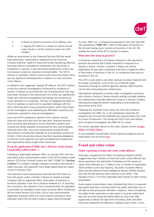

- 1. A failure to prevent economic crime offence; and
- 2. A *"tipping off"* offence in relation to notices issued under Section 2 of the Criminal Justice Act 1987 (**"CJA"**).

Whilst an amendment to the Financial Services Bill that would have held those *"authorised or registered by the Financial Conduct Authority"* liable for fraud and money laundering offences (amongst others) committed by employees was discussed in Parliament in January, it was dismissed pending the current Law Commission review on corporate criminal liability. The SFO's Director is, therefore, likely to have to wait some time before there are any significant developments in relation to a new economic crime offence.

In relation to the suggested *"tipping off"* offence, the SFO's desire to limit any internal investigations conducted by recipients of Section 2 Notices so as to limit the risk of alerting those who may have been involved in the commission of a crime can significantly hinder any internal investigations and hamper the 'business as usual' operation of a corporate. The key to mitigating the effect of this is to maintain an open and co-operative dialogue with the SFO, informing them of any proposed actions, which may impact on the investigation and explaining the difficulties caused by any restrictions imposed on internal investigations.

Given the SFO's predictions and the FCA's rhetoric around financial crime and fraud over the past year, financial services firms would be well-advised to ensure that their systems and controls are being regularly re-assessed for new, and emerging, financial crime risks. Any such assessments should be welldocumented, including the rationale for any decisions arising out of them. Firms should also ensure that their reporting obligations to financial crime agencies are well considered and understood, with legal advice being sought when necessary.

### **R (on the application of KBR, Inc) v Director of the Serious Fraud Office [2021] UKSC 2**

Following a legal battle between KBR, Inc and the SFO over the past three years concerning the extent of the SFO's powers under section 2(3) of the Criminal Justice Act 1987 (**"CJA"**) (a **"Section 2 Notice"**) to compel a foreign company to produce documents it holds overseas, the Supreme Court finally determined the matter on the 5 February 2021.

The Supreme Court unanimously ruled that the SFO does not have the power under a Section 2 Notice to compel a foreign company with no registered office, fixed place of business or business activities in the UK to produce material to it. In reaching this conclusion, the Supreme Court considered that UK legislation is generally not intended to have extra-territorial effect; Parliament did not intend section 2(3) of the CJA to have extra-territorial application because there is no such express wording or clear indication within the Act that it ought to apply extra-territorially.

As such, KBR, Inc, a company incorporated in the USA (but with UK subsidiaries (**"KBR UK"**), with no fixed place of business in the UK and having never carried out business in the UK, fell outside the reach of the SFO's Section 2 powers.

#### **What does this mean in practice?**

It should be noted that a UK based company is still required to produce documents that it holds overseas in response to a Section 2 Notice. Further, a Section 2 Notice can still be legitimately served upon companies that have a registered office or fixed place of business in the UK, or companies that carry on business in the UK.

The SFO is also able to use other avenues to obtain material held by foreign companies, such as the use of Mutual Legal Assistance through its partner agencies abroad, albeit that this can be time consuming and cumbersome.

International companies currently under investigation and those who receive a Section 2 Notice should carefully consider whether the material they hold falls within the scope of a Section 2 Notice, following this judgment before responding to and producing documents to the SFO.

Following the Supreme Court ruling, the SFO has closed its investigation into KBR, Inc.'s UK subsidiaries citing that the evidence did not meet the evidential test required within the Code for Crown Prosecutors. This brings the SFO's four year bribery and corruption investigation into KBR UK to a close.

For further specialist advice on this topic, please contact [Imogen](mailto:Imogen.Makin@dwf.law)  [Makin](mailto:Imogen.Makin@dwf.law) an[d Kelly Wilson.](mailto:Kelly.Wilson@dwf.law)

A more detailed consideration of this important judgment and its implications can be found [here.](https://dwfgroup.com/en-de/news-and-insights/insights/2021/2/supreme-court-finds-the-sfos-section-2-powers-do-not-have-extra-territorial-reach)

### <span id="page-3-0"></span>**Fraud and cyber-crime**

#### **Under-reporting of fraud and cyber-crime offences**

Estimates compiled by the Office for National Statistics (ONS) suggest that only a fraction of fraud and cyber-crime offences are being reported to the authorities. Estimates put the volume of cyber-crime offenses at 1.7 million in the 12 months to September 2020 (similar to prior year figures), but police recorded offense data from the National Fraud Intelligence Bureau (NFIB) showed that only 29,094 offences were referred to the NFIB. That equates to just 1.7% of the estimated total volume of cyber-crimes perpetrated.

Some expert commentators have indicated that there is a general perception that there is limited action the public authorities can or will take to find and punish offenders. However, when considering the ability of the authorities to take action it must be noted that if they are not even being told about offences, they have little opportunity to attract the right level of funding, skills and other resources required to be effective in fighting cyber-crime. In turn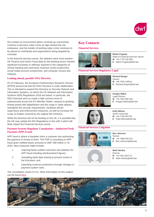

this creates an environment where criminals go unpunished, continue to perceive cyber-crime as high-reward low-risk endeavour, and the burden of tackling cyber-crime continues to be placed on individuals and organisations being targeted by criminals.

In the financial services sector, the statistics were more positive. UK Finance and Action Fraud data for the banking sector showed significant increases in offenses reported in the categories of; remote banking and card fraud, business email compromise, social media account compromise, and computer viruses and malware.

#### **Looking ahead; possible NIS2 Directive**

On 22 February, the European Parliamentary Research Service (EPRS) announced that the NIS2 Directive is under deliberation. This is intended to expand the Directive on Security Network and Information Systems, on which the UK Network and Information Systems (NIS) Regulations 2018 are based. In particular, the NIS2 Directive aims to create a high common level of cybersecurity across the EU Member States, respond to growing threats posed with digitalisation and the surge in cyber-attacks, strengthen the security requirements, introduce stricter supervisory and enforcement measures, as well as increase the scope of entities covered by the original NIS Directive.

While the Directive will not be binding on the UK, it is possible that the UK may update the NIS Regulations in line with it which will likely impact the Financial Services sector.

### **Payment Systems Regulator Consultation - Authorised Push Payment (APP) Fraud**

APP fraud is where a fraudster tricks a customer into authorising the payment of money to them. The PSR is consulting on APP fraud given notified losses amounts to GBP 208 million in H1 2020. New measures might include:

- 1. requiring banks publish outcomes and statistics for APP fraud including reimbursement figures;
- 2. mandating bank data sharing to prevent scams in the first place; and
- 3. extending customer protections through changes to payment system rules.

The consultation closes 8.4.21. More information on this subject can be found [here.](https://psr.org.uk/publications/consultations/cp21-3-authorised-push-payment-scams-call-for-views/)

### <span id="page-4-0"></span>**Key Contacts**

#### **Financial Services**



**Martin Pugsley** Head of Financial Services Sector **M** +44 7718 130 683

**E** Martin.Pugsley@dwf.law

### **Financial Services Regulatory Legal**



**Richard Burger** Partner

- **M** +44 7545 100510
- **E** Richard.Burger@dwf.law



**Imogen Makin** Legal Director

- **M** +44 7842 608 194
- **E** Imogen.Makin@dwf.law



**Kelly Wilson** Senior Associate **M** +44 7708 487763

- **E** Kelly.Wilson@dwf.law
- 

#### **Financial Services Litigation**



**Ben Johnson**

- Partner **M** +44 7968 559 314
- **E** Ben.Johnson@dwf.law
- 



**Mark Hendry Director M** +44 7821 867712 **E** Mark.Hendry@dwf.law

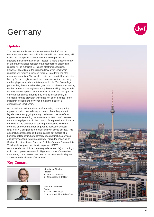# <span id="page-5-0"></span>**Germany**

# <span id="page-5-1"></span>**Updates**

The German Parliament is due to discuss the draft law on electronic securities, which if implemented in its current form, will waive the strict paper requirements for issuing bonds and interests in investment vehicles. Instead, a mere electronic entry in either a centralised register or a decentralised Blockchain register will be sufficient for issuing electronic securities. However, according to the proposed law, even Blockchain registers will require a licensed registrar in order to register electronic securities. This would create the potential for extensive liability for such registrars with the consequence that not many market players may dare to take up such role. Yet, from a legal perspective, the comprehensive good faith provisions surrounding entries on Blockchain registers are quite compelling; they include not only ownership but also transfer restrictions. According to the current draft, shares in funds may also be issued solely in electronic form (a provision which had not been included in the initial ministerial draft), however, not on the basis of a decentralised Blockchain.

An amendment to the anti -money laundering rules regarding cryptocurrencies is also being proposed. According to draft legislation currently going through parliament, the transfer of crypto values exceeding the equivalent of EUR 1,000 between natural or legal persons in the context of the provision of financial services, or the operation of banking transactions within the meaning of the German Banking Act (Kreditwesengesetz), requires KYC obligations to be fulfilled by in -scope entities. This also includes transactions that are carried out outside of a business relationship, but expressly does not include services exclusively concerning crypto custody (within the meaning of Section 1 (1a) sentence 2 number 6 of the German Banking Act). This legislative proposal aims to implement FATF recommendation 15, interpretative guide section 7a), according to which in -scope entities must fulfill general duties of care when transferring crypto assets outside of a business relationship and above a threshold value of EUR 1000.

# <span id="page-5-2"></span>**Key Contacts**



**Nina -Luisa Siedler** Partner **M** +49 151 14368441 **E** Nina.Siedler@dwf.law



**Axel von Goldbeck** Partner **M** +49 170 5543936

**E** Axel.VonGoldbeck@dwf.law



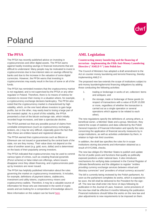

# <span id="page-6-0"></span>Poland

# <span id="page-6-1"></span>**The PFSA**

The PFSA has recently published advice on investing in cryptocurrencies and other digital assets. The PFSA warns against hastily investing savings in financial instruments that are difficult to understand. Many people may be motivated to invest in cryptocurrencies due to low interest rates on savings offered by banks and due to the increase in the valuation of some digital currencies. However, the PFSA warns that investing in cryptocurrencies may easily result in the loss of some or all of the funds.

The PFSA has reminded investors that the cryptocurrency market is not regulated, and is not supervised by the PFSA or any other regulator in Poland. Therefore, there is no means of redress for investors to recover their money in a situation where, for example, a cryptocurrency exchange declares bankruptcy. The PFSA also noted that the cryptocurrency market is characterised by high volatility, which, on the one hand allows investors to gain large profits, but on the other, may easily lead to losing a large part of the invested capital. As a proof of this volatility, the PFSA presented a chart of the bitcoin exchange rate, which initially recorded huge increases, and later a spectacular decline.

The PFSA pointed out that any possible pursuit of claims from unreliable entrepreneurs (such as cryptocurrency exchanges, brokers, etc.) may be very difficult, especially given the fact that often these are entities based and registered abroad.

The PFSA warned that cryptocurrencies such as Bitcoin or Ethereum are not issued or guaranteed by the central bank of the state, nor are they money. Their value does not depend on the value of another asset (e.g. gold, euro, dollar) and is determined on the basis of their popularity among investors.

The PFSA indicated that cryptocurrencies may be used to commit various types of crimes, such as creating financial pyramids (Ponzi scheme) or false initial coin offerings, where issuers disappear once they obtain financing, and cryptocurrencies paidup by investors are never issued.

The PFSA has helpfully published information about the rules governing the market on cryptocurrency investments. It includes, for example, definitions of payment tokens, stablecoins, investment and utility tokens, cryptocurrency mixers and cryptocurrency wallets. Therefore, it may be a valuable source of information for those who are interested in the world of crypto assets and are looking for a compendium of knowledge about it.

More information on this subject can be found [here.](https://www.knf.gov.pl/knf/pl/komponenty/img/Ostrzezenie_UKNF_o_ryzykach_zwiazanych_z_nabywaniem_oraz_z_obrotem_kryptoaktywami_72241.pdf)

### <span id="page-6-2"></span>**AML Legislation**

### **Counteracting money laundering and the financing of terrorism - implementing the Fifth Anti-Money Laundering Directive ("AMLD V") into Polish law**

The Council of Ministers has adopted a draft amendment to the Act on counter money laundering and terrorist financing, thereby implementing AMLD V.

The proposed new law extends the scope of institutions subject to anti-money laundering/terrorist financing obligations by adding those conducting the following activities:

- 1. trading or brokerage in works of art, collectors' items and antiques; and
- 2. the storage, trade or brokerage of these goods (in respect of transactions with a value of EUR 10,000 or more, regardless of whether the transaction is carried out as a single operation or several operations which appear to be related to each other).

The new regulations specify the definitions of, among others, a beneficial owner, a Member State and a group. Moreover, they extend the scope of statistics and data collected by the Polish General Inspector of Financial Information and specify the rules concerning the application of financial security measures by in scope institutions, as well as activities undertaken by them, in relation to high-risk third countries.

In addition, the draft law specifies the rules for in-scope institutions storing documents and information obtained as a result of KYC/AML checks.

The new law obliges EU Member States to publish and update the list of public posts and functions that qualify as politically exposed positions under national laws. It also introduces mechanisms for verifying data contained in the Central Register of Ultimate Beneficiaries and the obligation to register "*entities providing currency exchange services between virtual and fiduciary currencies*" and "*providers of virtual currency accounts*".

The bill is currently being reviewed by the Polish parliament. As soon as the parliament completes its works, which is expected to be soon, the bill shall be delivered to the President for the signoff. The new law shall enter into force 14 days following its publication in the Journal of Laws, however, some provisions of the new law shall be effective 6 months following the publication. Financial institutions should follow the works on the new law and plan adjustments to new requirements to be imposed on them.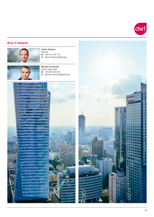

# <span id="page-7-0"></span>**Key Contacts**



**Adam Stopyra** Partner **M** +48 571 244 772 **E** Adam.Stopyra@dwf.law



**Michał Torończak** Senior Associate **M** +48 692 003 532 **E** Michal.Toronczak@dwf.law



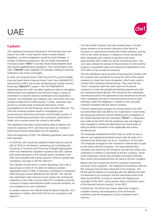# <span id="page-8-0"></span>UAE



# **Updates**

The regulatory framework that governs the financial crime and fraud in the UAE is multi-layered, which includes federal legislation, as well as legislation issued by each Emirates. A number of offshore jurisdictions, like the Dubai International Financial Centre (**"DIFC"**) and Abu Dhabi Global Markets have also issued supplementing regulations. The Central Bank of the UAE (**"CBUAE"**) also regulates the activities relating to financial institutions and money exchanges.

In 2020, the Financial Action Task Force (FATF) and the Middle East and North Africa Financial Action Task Force (MENAFATF) assessed the UAE's anti-money laundering and counter terrorist financing (**"AML/CFT"**) system. The FATF/MENAFATF determined that the UAE has taken significant steps to strengthen relevant laws and regulations and had put in place a range of committees to improve national coordination and cooperation. However, the framework was relatively new, and further time was needed to determine its effectiveness. Further, authorities had access to a broad range of financial information in their investigations of terrorist financing, fraud and other offences. The UAE has achieved positive results in investigating and prosecuting the financing of terrorism, but its limited number of money laundering prosecutions and convictions, particularly in Dubai, are a concern given the country's risk profile.

The regulators have been actively taking steps to address the concerns raised by FATF, and there has been an increase in enforcement actions being taken by the regulators.

Since the beginning of 2021, the following significant cases have been reported:

– In 2018 the UAE issued the updated Federal Decree Law No. (20) of 2018 on Anti-Money Laundering and Combating the Financing of Terrorism and Financing of Illegal Organisations which was followed by regulation issued by the UAE Cabinet and various decisions of the CBUAE board. All banks in the UAE were provided with a grace period in which to update their compliance and align it with the AML/CFT.

The CBUAE recently fined 11 banks operating in the UAE a total amount of AED 45.75 million for failing to achieve appropriate levels of AML & Sanctions Compliance Frameworks within the grace period afforded by the CBUAE. The CBUAE has stated that it will continue to work closely with all financial institutions in the UAE to ensure AML/CFT compliance and will continue to impose administrative and/or financial sanctions, for non-compliance by such institutions.

In another instance, the CBUAE fined the Bank of Baroda, GCC Operations in Dubai, AED 6,833,333 for non-compliance with AML/CFT.

– The Abu Dhabi Criminal Court has handed down a 15-year prison sentence to the former Chairman of the Board of Directors of a government-owned Abu Dhabi company, and the CEO of the same company, in relation to money laundering. Both individuals were ordered to pay fines and return approximately AED 8 billion of money received by them. The court also ordered the seizure of the proceeds of crime and the property of equivalent value and ordered the deportation of the CEO after he has served his sentence

The two individuals were accused of misusing their position with the company they worked for by using the name of the parent company to create two clone companies, which were used to contract with companies based abroad. They used the two "*clone*" companies (with the same name as the parent company) to enter into parallel and identical agreements with the companies based abroad. The money the two individuals received pursuant to the agreements was transferred to the two clone companies and then to the personal accounts of each individual, while the obligations in relation to the executed contracts remained with the parent company.

– A former relationship manager of a private bank in the DIFC has been fined AED 165,000 for his involvement in anti-money laundering law breaches and for hindering the investigation of the Dubai Financial Services Authority (**"DFSA"**). A distinction was made by the DIFC that the employee was not judged to have engaged in money laundering but was found guilty of being involved in breaches of the applicable anti-money laundering law.

The employee established the BVI entity (in which he was a director and registered beneficial owner) with the help of an individual that would often act as an "*introducer*" for the bank. The employee arranged for the introducer's referral fees to paid by the bank to the BVI company. The bank believed that company was owned by the introducer and did not conduct any verification in relation to ownership of the BVI company. Some of the employee's clients also provided instructions whereby their money was transferred from the bank to the BVI company.

Money was then routed from the BVI company to personal accounts of the employee. The employee's involvement with the BVI company had not been disclosed to his employer. The DFSA said the banker's involvement with the offshore firm was not disclosed to his employer and this warranted action to be taken by the DFSA "*in order to maintain the integrity and reputation of the DIFC, and to protect direct and indirect users of the financial services industry*" in the DIFC.

Furthermore, the DFSA has clearly stated that it expects complete honesty and transparency from all financial institutions and the employees of such institutions that it licenses.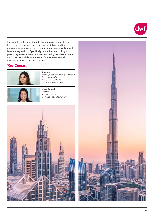

It is clear from the recent trends that regulatory authorities are keen to investigate and hold financial institutions and their employees accountable for any breaches of applicable financial laws and regulations. Specifically, authorities are looking to proactively enforce the anti-money laundering laws issued in the UAE whether such laws are issued for onshore financial institutions or those in the free zones.

## <span id="page-9-0"></span>**Key Contacts**



**Umera Ali**  Partner, Head of Banking, Finance & Corporate (UAE) **M** +971 52 3859126 **E** Umera.Ali@dwf.law



**Aisha Gondal** Director **M** +92 3007 091978 **E** Aisha.Gondal@dwf.law



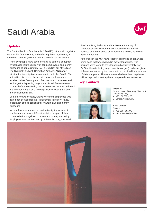# <span id="page-10-0"></span>Saudi Arabia



# **Updates**

The Central Bank of Saudi Arabia (**"SAMA"**) is the main regulator responsible for monitoring and enforcing these regulations, and there has been a significant increase in enforcement actions.

– Thirty-two people have been arrested as part of a corruption investigation into the bribery of bank employees, and money laundering of approximately SAR 11.6 billion out of the KSA. The Oversight and Anti-Corruption Authority (**"Nazaha"**) initiated the investigation in cooperation with the SAMA. The authorities discovered that certain bank employees had received bribes from a group of residents and businessmen in exchange for depositing large sums of cash from unknown sources before transferring the money out of the KSA, in breach of a number of KSA laws and regulations including the antimoney laundering law.

Of the thirty-two arrested, twelve were bank employees who have been accused for their involvement in bribery, fraud, exploitation of their positions for financial gain and money laundering.

Nazaha has also arrested around forty-eight government employees from seven different ministries as part of their continued efforts against corruption and money laundering. Employees from the Presidency of State Security, the Saudi Food and Drug Authority and the General Authority of Meteorology and Environment Protection were arrested, accused of bribery, abuse of influence and power, as well as fraud and forgery.

– Authorities in the KSA have recently disbanded an organized crime gang that was involved in money laundering. The accused were found to have laundered approximately SAR 64.86 million (including large quantities of gold) and were given different sentences by the courts with a combined imprisonment of sixty four years. The expatriates who have been imprisoned will be deported once they have completed their sentences.

### <span id="page-10-1"></span>**Key Contacts**



**Umera Ali**  Partner, Head of Banking, Finance & Corporate (UAE) **M** +971 52 3859126 **E** Umera.Ali@dwf.law



**Aisha Gondal Director M** +92 3007 091978 **E** Aisha.Gondal@dwf.law